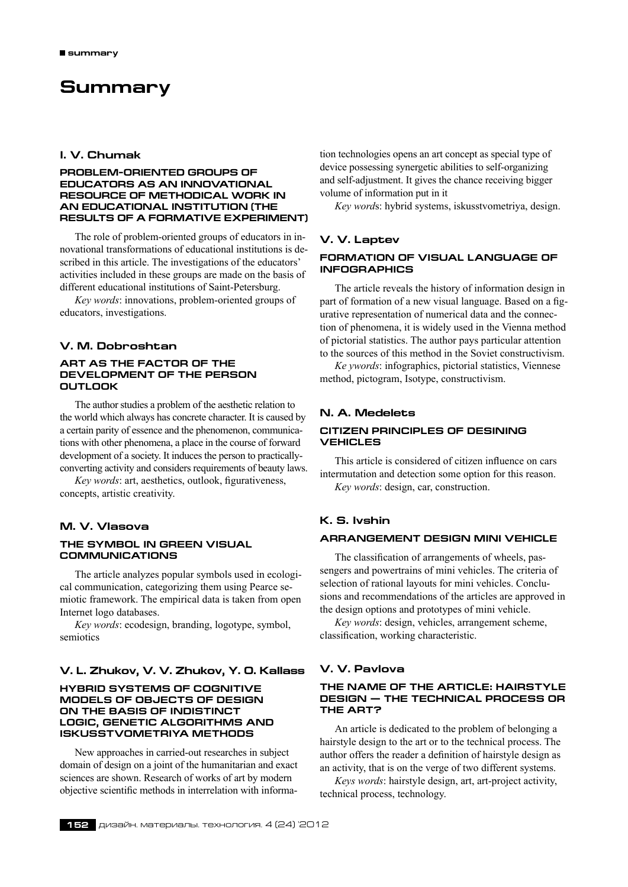# **Summary**

# **I. V. Chumak**

### **Problem-oriented groups of educators as an innovational resource of methodical work in an educational institution (the results of a formative experiment)**

The role of problem-oriented groups of educators in innovational transformations of educational institutions is described in this article. The investigations of the educators' activities included in these groups are made on the basis of different educational institutions of Saint-Petersburg.

*Key words*: innovations, problem-oriented groups of educators, investigations.

### **V. M. Dobroshtan**

#### **ART AS THE FACTOR OF THE DEVELOPMENT OF THE PERSON OUTLOOK**

The author studies a problem of the aesthetic relation to the world which always has concrete character. It is caused by a certain parity of essence and the phenomenon, communications with other phenomena, a place in the course of forward development of a society. It induces the person to practicallyconverting activity and considers requirements of beauty laws.

*Key words*: art, aesthetics, outlook, figurativeness, concepts, artistic creativity.

### **M. V. Vlasova**

#### **The symbol in green visual communications**

The article analyzes popular symbols used in ecological communication, categorizing them using Pearce semiotic framework. The empirical data is taken from open Internet logo databases.

*Key words*: ecodesign, branding, logotype, symbol, semiotics

### **V. L. Zhukov, V. V. Zhukov, Y. O. Kallass**

### **hybrid systems of cognitive models of objects of design on the basis of indistinct logic, genetic algorithms and iskusstvometriya methods**

New approaches in carried-out researches in subject domain of design on a joint of the humanitarian and exact sciences are shown. Research of works of art by modern objective scientific methods in interrelation with information technologies opens an art concept as special type of device possessing synergetic abilities to self-organizing and self-adjustment. It gives the chance receiving bigger volume of information put in it

*Key word*s: hybrid systems, iskusstvometriya, design.

### **V. V. Laptev**

### **Formation of visual language of infographics**

The article reveals the history of information design in part of formation of a new visual language. Based on a figurative representation of numerical data and the connection of phenomena, it is widely used in the Vienna method of pictorial statistics. The author pays particular attention to the sources of this method in the Soviet constructivism.

*Ke ywords*: infographics, pictorial statistics, Viennese method, pictogram, Isotype, constructivism.

### **N. A. Medelets**

### **Citizen principles of desining vehicles**

This article is considered of citizen influence on cars intermutation and detection some option for this reason. *Key words*: design, car, construction.

### **K. S. Ivshin**

### **Arrangement design MINI VEHICLE**

The classification of arrangements of wheels, passengers and powertrains of mini vehicles. The criteria of selection of rational layouts for mini vehicles. Conclusions and recommendations of the articles are approved in the design options and prototypes of mini vehicle.

*Key words*: design, vehicles, arrangement scheme, classification, working characteristic.

# **V. V. Pavlova**

### **The name of the article: Hairstyle design — the technical process or the art?**

An article is dedicated to the problem of belonging a hairstyle design to the art or to the technical process. The author offers the reader a definition of hairstyle design as an activity, that is on the verge of two different systems.

*Keys words*: hairstyle design, art, art-project activity, technical process, technology.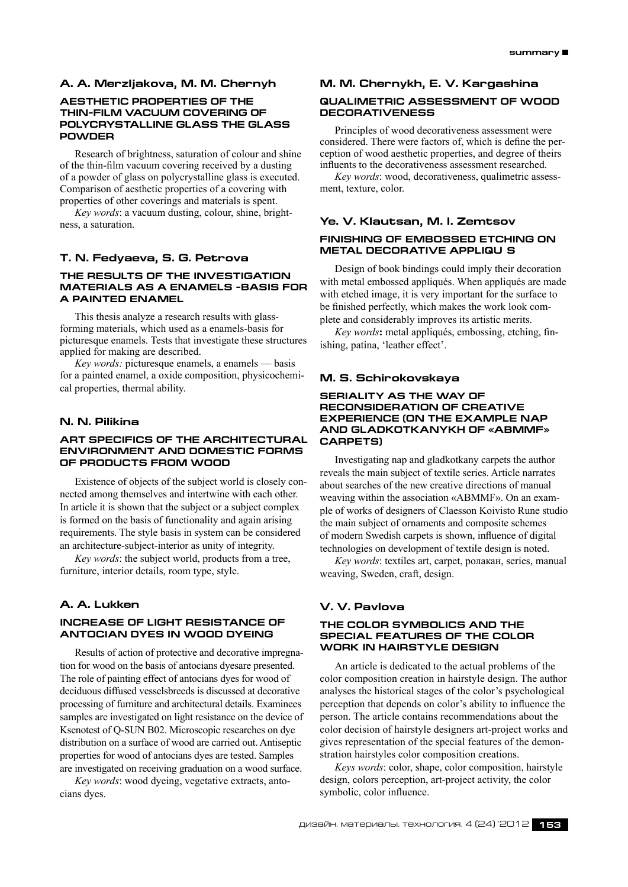### **A. A. Merzljakova, M. M. Chernyh**

### **AESTHETIC PROPERTIES OF THE THIN-FILM VACUUM COVERING OF POLYCRYSTALLINE GLASS THE GLASS POWDER**

Research of brightness, saturation of colour and shine of the thin-film vacuum covering received by a dusting of a powder of glass on polycrystalline glass is executed. Comparison of aesthetic properties of a covering with properties of other coverings and materials is spent.

*Key words*: a vacuum dusting, colour, shine, brightness, a saturation.

### **T. N. Fedyaeva, S. G. Petrova**

### **The results of the investigation materials as a enamels -basis for a painted enamel**

This thesis analyze a research results with glassforming materials, which used as a enamels-basis for picturesque enamels. Tests that investigate these structures applied for making are described.

*Key words:* picturesque enamels, a enamels — basis for a painted enamel, a oxide composition, physicochemical properties, thermal ability.

# **N. N. Pilikina**

#### **Art specifics of the architectural environment and domestic forms of products from wood**

Existence of objects of the subject world is closely connected among themselves and intertwine with each other. In article it is shown that the subject or a subject complex is formed on the basis of functionality and again arising requirements. The style basis in system can be considered an architecture-subject-interior as unity of integrity.

*Key words*: the subject world, products from a tree, furniture, interior details, room type, style.

# **A. A. Lukken**

### **Increase of light resistance of antoсian dyes in wood dyeing**

Results of action of protective and decorative impregnation for wood on the basis of antocians dyesare presented. The role of painting effect of antocians dyes for wood of deciduous diffused vesselsbreeds is discussed at decorative processing of furniture and architectural details. Examinees samples are investigated on light resistance on the device of Ksenotest of Q-SUN B02. Microscopic researches on dye distribution on a surface of wood are carried out. Antiseptic properties for wood of antocians dyes are tested. Samples are investigated on receiving graduation on a wood surface.

*Key words*: wood dyeing, vegetative extracts, antocians dyes.

#### **M. M. Chernykh, E. V. Kargashina**

### **QUALIMETRIC ASSESSMENT OF WOOD DECORATIVENESS**

Principles of wood decorativeness assessment were considered. There were factors of, which is define the perception of wood aesthetic properties, and degree of theirs influents to the decorativeness assessment researched.

*Key words*: wood, decorativeness, qualimetric assessment, texture, color.

### **Ye. V. Klautsan, M. I. Zemtsov**

#### **Finishing of embossed ETCHING ON METAL DECORATIVE APPLIquÉs**

Design of book bindings could imply their decoration with metal embossed appliqués. When appliqués are made with etched image, it is very important for the surface to be finished perfectly, which makes the work look complete and considerably improves its artistic merits.

*Key words***:** metal appliqués, embossing, etching, finishing, patina, 'leather effect'.

#### **M. S. Schirokovskaya**

### **SERIALITY AS THE WAY OF RECONSIDERATION OF CREATIVE EXPERIENCE (ON THE EXAMPLE NAP AND GLADKOTKANYKH OF «ABMMF» CARPETS)**

Investigating nap and gladkotkany carpets the author reveals the main subject of textile series. Article narrates about searches of the new creative directions of manual weaving within the association «ABMMF». On an example of works of designers of Claesson Koivisto Rune studio the main subject of ornaments and composite schemes of modern Swedish carpets is shown, influence of digital technologies on development of textile design is noted.

*Key words*: textiles art, carpet, ролакан, series, manual weaving, Sweden, craft, design.

### **V. V. Pavlova**

#### **The color symbolics and the special features of the color work in hairstyle design**

An article is dedicated to the actual problems of the color composition creation in hairstyle design. The author analyses the historical stages of the color's psychological perception that depends on color's ability to influence the person. The article contains recommendations about the color decision of hairstyle designers art-project works and gives representation of the special features of the demonstration hairstyles color composition creations.

*Keys words*: color, shape, color composition, hairstyle design, colors perception, art-project activity, the color symbolic, color influence.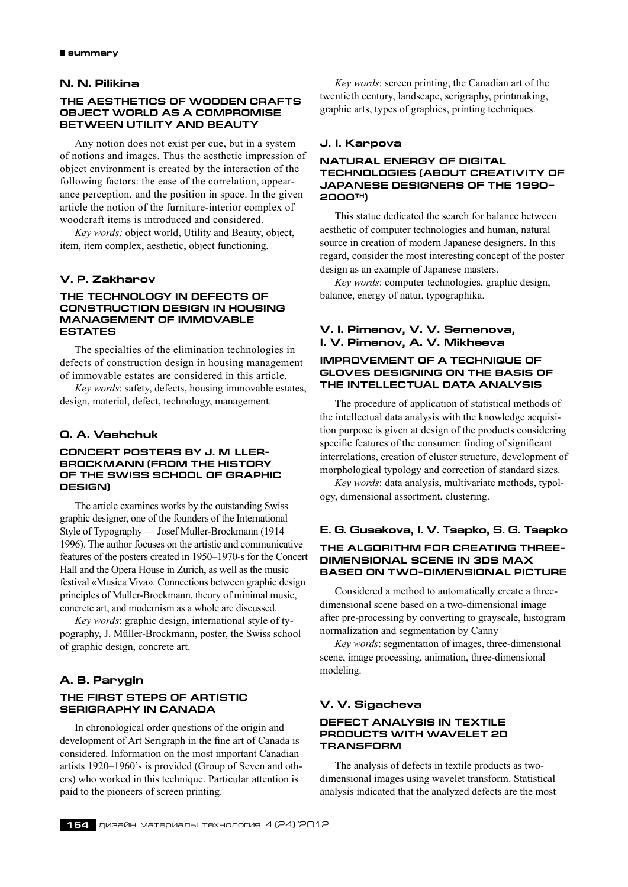### **N. N. Pilikina**

### **The Aesthetics of Wooden Crafts Object World as a Compromise Between Utility and Beauty**

Any notion does not exist per cue, but in a system of notions and images. Thus the aesthetic impression of object environment is created by the interaction of the following factors: the ease of the correlation, appearance perception, and the position in space. In the given article the notion of the furniture-interior complex of woodcraft items is introduced and considered.

*Key words:* object world, Utility and Beauty, object, item, item complex, aesthetic, object functioning.

### **V. P. Zakharov**

### **THE TECHNOLOGY IN DEFECTS OF CONSTRUCTION DESIGN IN HOUSING MANAGEMENT OF IMMOVABLE ESTATES**

The specialties of the elimination technologies in defects of construction design in housing management of immovable estates are considered in this article.

*Key words*: safety, defects, housing immovable estates, design, material, defect, technology, management.

### **O. A. Vashchuk**

### **Concert posters by J. M ller-Brockmann (from the history of the Swiss school of graphic design)**

The article examines works by the outstanding Swiss graphic designer, one of the founders of the International Style of Typography — Josef Muller-Brockmann (1914– 1996). The author focuses on the artistic and communicative features of the posters created in 1950–1970‑s for the Concert Hall and the Opera House in Zurich, as well as the music festival «Musica Viva». Connections between graphic design principles of Muller-Brockmann, theory of minimal music, concrete art, and modernism as a whole are discussed.

*Key words*: graphic design, international style of typography, J. Müller-Brockmann, poster, the Swiss school of graphic design, concrete art.

### **A. B. Parygin**

### **The first steps of Artistic Serigraphy in Canada**

In chronological order questions of the origin and development of Art Serigraph in the fine art of Canada is considered. Information on the most important Canadian artists 1920–1960's is provided (Group of Seven and others) who worked in this technique. Particular attention is paid to the pioneers of screen printing.

*Key words*: screen printing, the Canadian art of the twentieth century, landscape, serigraphy, printmaking, graphic arts, types of graphics, printing techniques.

### **J. I. Karpova**

### **Natural energy of digital technologies (about creativity of Japanese designers of the 1990– 2000th)**

This statue dedicated the search for balance between aesthetic of computer technologies and human, natural source in creation of modern Japanese designers. In this regard, consider the most interesting concept of the poster design as an example of Japanese masters.

*Key words*: computer technologies, graphic design, balance, energy of natur, typographika.

# **V. I. Pimenov, V. V. Semenova, I. V. Pimenov, A. V. Mikheeva**

### **Improvement of a technique of gloves designing on the basis of the intellectual data analysis**

The procedure of application of statistical methods of the intellectual data analysis with the knowledge acquisition purpose is given at design of the products considering specific features of the consumer: finding of significant interrelations, creation of cluster structure, development of morphological typology and correction of standard sizes.

*Key words*: data analysis, multivariate methods, typology, dimensional assortment, clustering.

# **E. G. Gusakova, I. V. Tsapko, S. G. Tsapko The algorithm for creating threedimensional scene in 3DS MAX based on two-dimensional picture**

Considered a method to automatically create a threedimensional scene based on a two-dimensional image after pre-processing by converting to grayscale, histogram normalization and segmentation by Canny

*Key words*: segmentation of images, three-dimensional scene, image processing, animation, three-dimensional modeling.

### **V. V. Sigacheva**

### **Defect analysis in textile products with wavelet 2D transform**

The analysis of defects in textile products as twodimensional images using wavelet transform. Statistical analysis indicated that the analyzed defects are the most